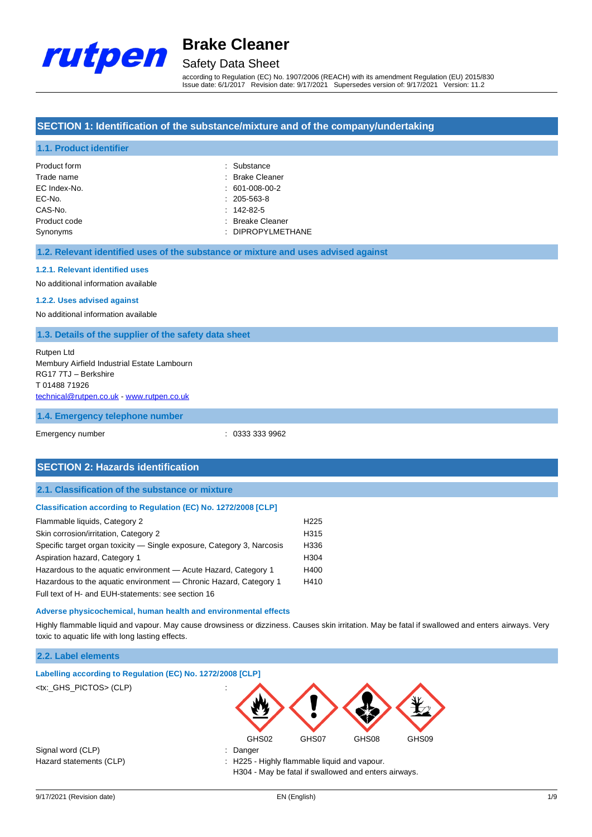

## Safety Data Sheet

according to Regulation (EC) No. 1907/2006 (REACH) with its amendment Regulation (EU) 2015/830 Issue date: 6/1/2017 Revision date: 9/17/2021 Supersedes version of: 9/17/2021 Version: 11.2

## **SECTION 1: Identification of the substance/mixture and of the company/undertaking**

### **1.1. Product identifier**

| Product form | : Substance       |
|--------------|-------------------|
| Trade name   | : Brake Cleaner   |
| EC Index-No. | $: 601-008-00-2$  |
| EC-No.       | $: 205 - 563 - 8$ |
| CAS-No.      | $: 142 - 82 - 5$  |
| Product code | : Breake Cleaner  |
| Synonyms     | : DIPROPYLMETHANE |

#### **1.2. Relevant identified uses of the substance or mixture and uses advised against**

#### **1.2.1. Relevant identified uses**

No additional information available

#### **1.2.2. Uses advised against**

No additional information available

#### **1.3. Details of the supplier of the safety data sheet**

Rutpen Ltd Membury Airfield Industrial Estate Lambourn RG17 7TJ – Berkshire T 01488 71926 [technical@rutpen.co.uk](mailto:technical@rutpen.co.uk) - [www.rutpen.co.uk](http://www.rutpen.co.uk/)

#### **1.4. Emergency telephone number**

Emergency number : 0333 333 9962

## **SECTION 2: Hazards identification**

### **2.1. Classification of the substance or mixture**

#### **Classification according to Regulation (EC) No. 1272/2008 [CLP]**

| Flammable liquids, Category 2                                          | H <sub>225</sub> |
|------------------------------------------------------------------------|------------------|
| Skin corrosion/irritation, Category 2                                  | H <sub>315</sub> |
| Specific target organ toxicity — Single exposure, Category 3, Narcosis | H336             |
| Aspiration hazard, Category 1                                          | H <sub>304</sub> |
| Hazardous to the aquatic environment - Acute Hazard, Category 1        | H400             |
| Hazardous to the aquatic environment — Chronic Hazard, Category 1      | H410             |
| Full text of H- and EUH-statements: see section 16                     |                  |

#### **Adverse physicochemical, human health and environmental effects**

Highly flammable liquid and vapour. May cause drowsiness or dizziness. Causes skin irritation. May be fatal if swallowed and enters airways. Very toxic to aquatic life with long lasting effects.

### **2.2. Label elements**

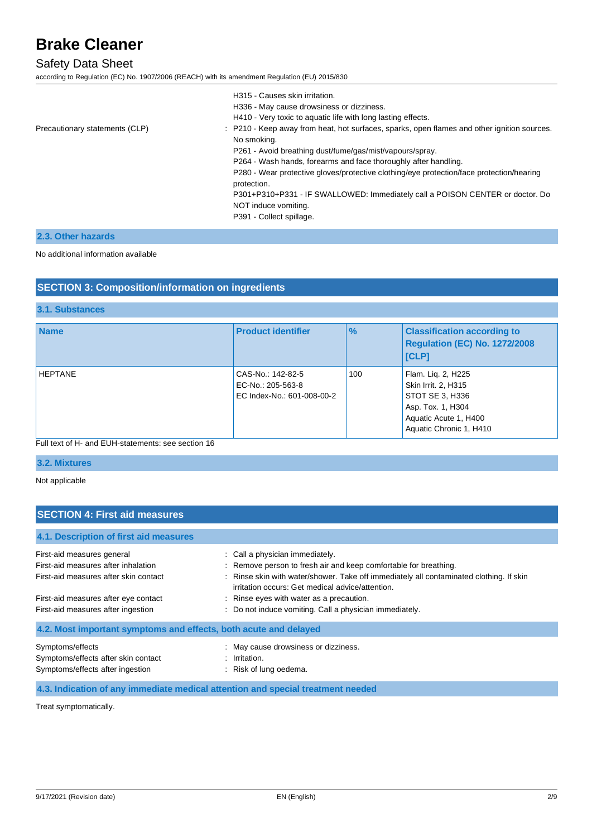## Safety Data Sheet

according to Regulation (EC) No. 1907/2006 (REACH) with its amendment Regulation (EU) 2015/830

|                                | H315 - Causes skin irritation.<br>H336 - May cause drowsiness or dizziness.<br>H410 - Very toxic to aquatic life with long lasting effects.                 |
|--------------------------------|-------------------------------------------------------------------------------------------------------------------------------------------------------------|
| Precautionary statements (CLP) | : P210 - Keep away from heat, hot surfaces, sparks, open flames and other ignition sources.<br>No smoking.                                                  |
|                                | P261 - Avoid breathing dust/fume/gas/mist/vapours/spray.                                                                                                    |
|                                | P264 - Wash hands, forearms and face thoroughly after handling.<br>P280 - Wear protective gloves/protective clothing/eye protection/face protection/hearing |
|                                | protection.                                                                                                                                                 |
|                                | P301+P310+P331 - IF SWALLOWED: Immediately call a POISON CENTER or doctor. Do                                                                               |
|                                | NOT induce vomiting.                                                                                                                                        |
|                                | P391 - Collect spillage.                                                                                                                                    |

## **2.3. Other hazards**

#### No additional information available

## **SECTION 3: Composition/information on ingredients**

## **3.1. Substances**

| <b>Name</b>    | <b>Product identifier</b>                                            | $\frac{9}{6}$ | <b>Classification according to</b><br>Regulation (EC) No. 1272/2008<br><b>ICLPI</b>                                                   |
|----------------|----------------------------------------------------------------------|---------------|---------------------------------------------------------------------------------------------------------------------------------------|
| <b>HEPTANE</b> | CAS-No.: 142-82-5<br>EC-No.: 205-563-8<br>EC Index-No.: 601-008-00-2 | 100           | Flam. Lig. 2, H225<br>Skin Irrit. 2, H315<br>STOT SE 3, H336<br>Asp. Tox. 1, H304<br>Aquatic Acute 1, H400<br>Aquatic Chronic 1, H410 |

## Full text of H- and EUH-statements: see section 16

## **3.2. Mixtures**

Not applicable

## **SECTION 4: First aid measures**

## **4.1. Description of first aid measures**

| First-aid measures general                                                 | : Call a physician immediately.                                                                                                                         |
|----------------------------------------------------------------------------|---------------------------------------------------------------------------------------------------------------------------------------------------------|
| First-aid measures after inhalation                                        | : Remove person to fresh air and keep comfortable for breathing.                                                                                        |
| First-aid measures after skin contact                                      | : Rinse skin with water/shower. Take off immediately all contaminated clothing. If skin                                                                 |
| First-aid measures after eye contact<br>First-aid measures after ingestion | irritation occurs: Get medical advice/attention.<br>: Rinse eyes with water as a precaution.<br>: Do not induce vomiting. Call a physician immediately. |
| 4.2. Most important symptoms and effects, both acute and delayed           |                                                                                                                                                         |
| Symptoms/effects                                                           | : May cause drowsiness or dizziness.                                                                                                                    |
| Symptoms/effects after skin contact                                        | $:$ Irritation.                                                                                                                                         |
| Symptoms/effects after ingestion                                           | : Risk of lung oedema.                                                                                                                                  |

**4.3. Indication of any immediate medical attention and special treatment needed**

Treat symptomatically.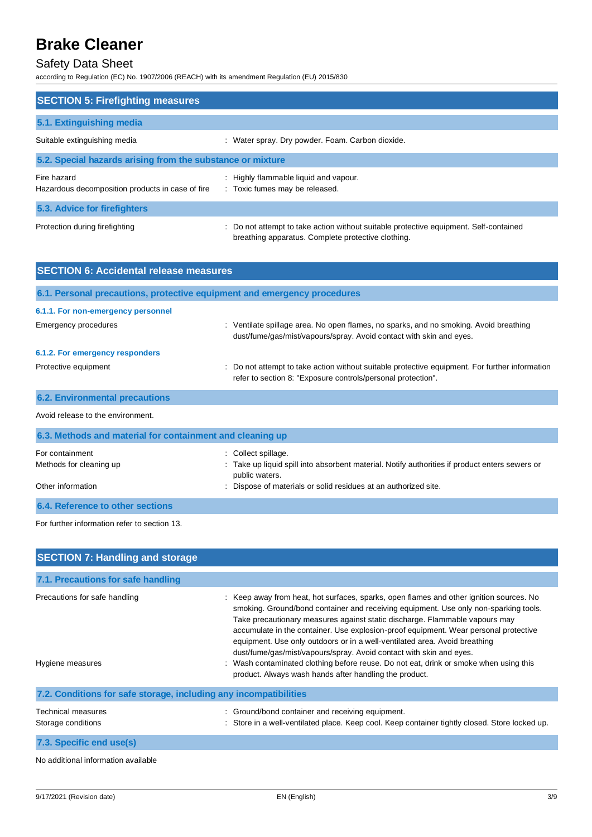## Safety Data Sheet

according to Regulation (EC) No. 1907/2006 (REACH) with its amendment Regulation (EU) 2015/830

| <b>SECTION 5: Firefighting measures</b>                         |                                                                                                                                             |
|-----------------------------------------------------------------|---------------------------------------------------------------------------------------------------------------------------------------------|
| 5.1. Extinguishing media                                        |                                                                                                                                             |
| Suitable extinguishing media                                    | : Water spray. Dry powder. Foam. Carbon dioxide.                                                                                            |
| 5.2. Special hazards arising from the substance or mixture      |                                                                                                                                             |
| Fire hazard<br>Hazardous decomposition products in case of fire | : Highly flammable liquid and vapour.<br>: Toxic fumes may be released.                                                                     |
| 5.3. Advice for firefighters                                    |                                                                                                                                             |
| Protection during firefighting                                  | : Do not attempt to take action without suitable protective equipment. Self-contained<br>breathing apparatus. Complete protective clothing. |

| <b>SECTION 6: Accidental release measures</b>                            |                                                                                                                                                                |  |  |  |
|--------------------------------------------------------------------------|----------------------------------------------------------------------------------------------------------------------------------------------------------------|--|--|--|
| 6.1. Personal precautions, protective equipment and emergency procedures |                                                                                                                                                                |  |  |  |
| 6.1.1. For non-emergency personnel                                       |                                                                                                                                                                |  |  |  |
| Emergency procedures                                                     | : Ventilate spillage area. No open flames, no sparks, and no smoking. Avoid breathing<br>dust/fume/gas/mist/vapours/spray. Avoid contact with skin and eyes.   |  |  |  |
| 6.1.2. For emergency responders                                          |                                                                                                                                                                |  |  |  |
| Protective equipment                                                     | : Do not attempt to take action without suitable protective equipment. For further information<br>refer to section 8: "Exposure controls/personal protection". |  |  |  |
| <b>6.2. Environmental precautions</b>                                    |                                                                                                                                                                |  |  |  |
| Avoid release to the environment.                                        |                                                                                                                                                                |  |  |  |
| 6.3. Methods and material for containment and cleaning up                |                                                                                                                                                                |  |  |  |
| For containment<br>Methods for cleaning up                               | Collect spillage.<br>: Take up liquid spill into absorbent material. Notify authorities if product enters sewers or                                            |  |  |  |

public waters.

Other information **intervals in the contract of materials** or solid residues at an authorized site.

**6.4. Reference to other sections**

For further information refer to section 13.

| <b>SECTION 7: Handling and storage</b>                            |                                                                                                                                                                                                                                                                                                                                                                                                                                                                                                                                                                                                                                                                |  |  |  |
|-------------------------------------------------------------------|----------------------------------------------------------------------------------------------------------------------------------------------------------------------------------------------------------------------------------------------------------------------------------------------------------------------------------------------------------------------------------------------------------------------------------------------------------------------------------------------------------------------------------------------------------------------------------------------------------------------------------------------------------------|--|--|--|
| 7.1. Precautions for safe handling                                |                                                                                                                                                                                                                                                                                                                                                                                                                                                                                                                                                                                                                                                                |  |  |  |
| Precautions for safe handling<br>Hygiene measures                 | : Keep away from heat, hot surfaces, sparks, open flames and other ignition sources. No<br>smoking. Ground/bond container and receiving equipment. Use only non-sparking tools.<br>Take precautionary measures against static discharge. Flammable vapours may<br>accumulate in the container. Use explosion-proof equipment. Wear personal protective<br>equipment. Use only outdoors or in a well-ventilated area. Avoid breathing<br>dust/fume/gas/mist/vapours/spray. Avoid contact with skin and eyes.<br>: Wash contaminated clothing before reuse. Do not eat, drink or smoke when using this<br>product. Always wash hands after handling the product. |  |  |  |
| 7.2. Conditions for safe storage, including any incompatibilities |                                                                                                                                                                                                                                                                                                                                                                                                                                                                                                                                                                                                                                                                |  |  |  |
| Technical measures<br>Storage conditions                          | : Ground/bond container and receiving equipment.<br>Store in a well-ventilated place. Keep cool. Keep container tightly closed. Store locked up.                                                                                                                                                                                                                                                                                                                                                                                                                                                                                                               |  |  |  |
| 7.3. Specific end use(s)                                          |                                                                                                                                                                                                                                                                                                                                                                                                                                                                                                                                                                                                                                                                |  |  |  |

No additional information available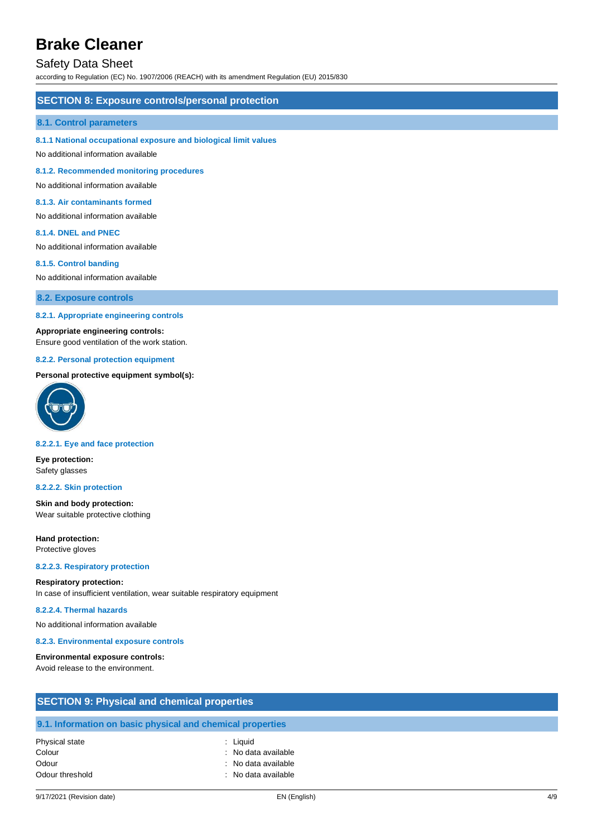## Safety Data Sheet

according to Regulation (EC) No. 1907/2006 (REACH) with its amendment Regulation (EU) 2015/830

### **SECTION 8: Exposure controls/personal protection**

#### **8.1. Control parameters**

#### **8.1.1 National occupational exposure and biological limit values**

No additional information available

**8.1.2. Recommended monitoring procedures**

No additional information available

### **8.1.3. Air contaminants formed**

No additional information available

#### **8.1.4. DNEL and PNEC**

No additional information available

#### **8.1.5. Control banding**

No additional information available

**8.2. Exposure controls**

#### **8.2.1. Appropriate engineering controls**

#### **Appropriate engineering controls:**

Ensure good ventilation of the work station.

#### **8.2.2. Personal protection equipment**

## **Personal protective equipment symbol(s):**



#### **8.2.2.1. Eye and face protection**

**Eye protection:** Safety glasses

#### **8.2.2.2. Skin protection**

**Skin and body protection:** Wear suitable protective clothing

**Hand protection:** Protective gloves

#### **8.2.2.3. Respiratory protection**

### **Respiratory protection:**

In case of insufficient ventilation, wear suitable respiratory equipment

#### **8.2.2.4. Thermal hazards**

No additional information available

#### **8.2.3. Environmental exposure controls**

#### **Environmental exposure controls:**

Avoid release to the environment.

| <b>SECTION 9: Physical and chemical properties</b> |                                                            |  |  |
|----------------------------------------------------|------------------------------------------------------------|--|--|
|                                                    | 9.1. Information on basic physical and chemical properties |  |  |
| Physical state                                     | : Liguid                                                   |  |  |
| Colour                                             | : No data available                                        |  |  |
| Odour                                              | : No data available                                        |  |  |
| Odour threshold                                    | : No data available                                        |  |  |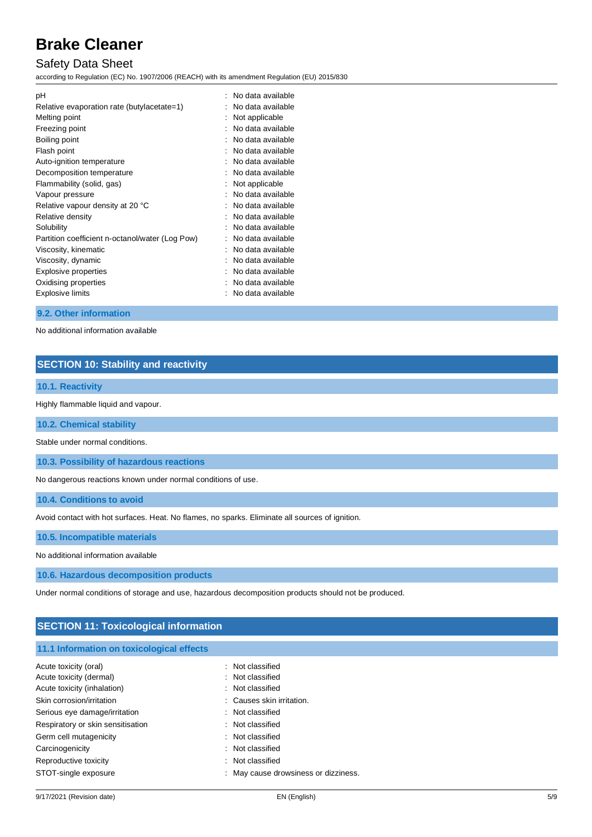## Safety Data Sheet

according to Regulation (EC) No. 1907/2006 (REACH) with its amendment Regulation (EU) 2015/830

| рH                                              | No data available |
|-------------------------------------------------|-------------------|
| Relative evaporation rate (butylacetate=1)      | No data available |
| Melting point                                   | Not applicable    |
| Freezing point                                  | No data available |
| Boiling point                                   | No data available |
| Flash point                                     | No data available |
| Auto-ignition temperature                       | No data available |
| Decomposition temperature                       | No data available |
| Flammability (solid, gas)                       | Not applicable    |
| Vapour pressure                                 | No data available |
| Relative vapour density at 20 °C                | No data available |
| Relative density                                | No data available |
| Solubility                                      | No data available |
| Partition coefficient n-octanol/water (Log Pow) | No data available |
| Viscosity, kinematic                            | No data available |
| Viscosity, dynamic                              | No data available |
| <b>Explosive properties</b>                     | No data available |
| Oxidising properties                            | No data available |
| Explosive limits                                | No data available |

## **9.2. Other information**

No additional information available

## **SECTION 10: Stability and reactivity**

## **10.1. Reactivity**

Highly flammable liquid and vapour.

**10.2. Chemical stability**

Stable under normal conditions.

**10.3. Possibility of hazardous reactions**

No dangerous reactions known under normal conditions of use.

**10.4. Conditions to avoid**

Avoid contact with hot surfaces. Heat. No flames, no sparks. Eliminate all sources of ignition.

**10.5. Incompatible materials**

No additional information available

**10.6. Hazardous decomposition products**

Under normal conditions of storage and use, hazardous decomposition products should not be produced.

## **SECTION 11: Toxicological information**

## **11.1 Information on toxicological effects**

| Acute toxicity (oral)             | : Not classified                     |
|-----------------------------------|--------------------------------------|
| Acute toxicity (dermal)           | : Not classified                     |
| Acute toxicity (inhalation)       | : Not classified                     |
| Skin corrosion/irritation         | : Causes skin irritation.            |
| Serious eye damage/irritation     | : Not classified                     |
| Respiratory or skin sensitisation | : Not classified                     |
| Germ cell mutagenicity            | : Not classified                     |
| Carcinogenicity                   | : Not classified                     |
| Reproductive toxicity             | : Not classified                     |
| STOT-single exposure              | : May cause drowsiness or dizziness. |
|                                   |                                      |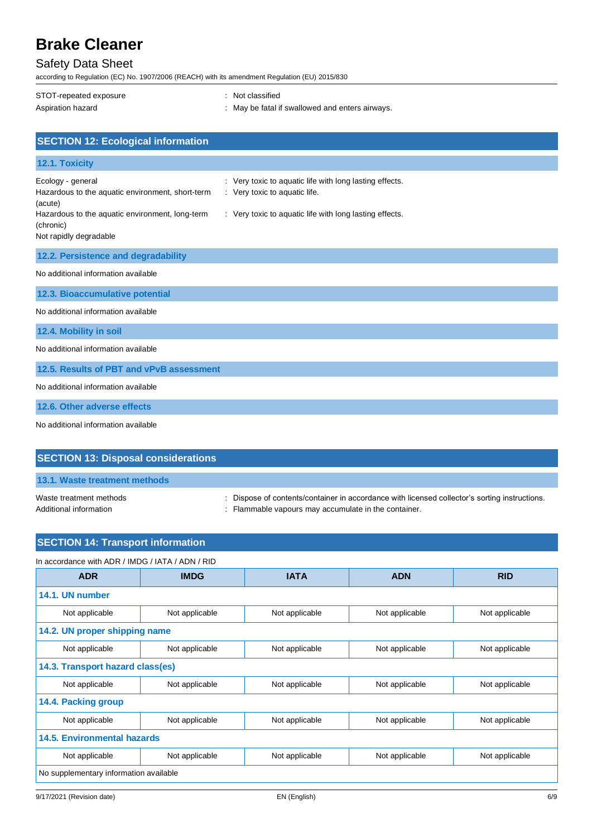## Safety Data Sheet

according to Regulation (EC) No. 1907/2006 (REACH) with its amendment Regulation (EU) 2015/830

| STOT-repeated exposure                                      | : Not classified                                        |
|-------------------------------------------------------------|---------------------------------------------------------|
| Aspiration hazard                                           | : May be fatal if swallowed and enters airways.         |
|                                                             |                                                         |
| <b>SECTION 12: Ecological information</b>                   |                                                         |
| 12.1. Toxicity                                              |                                                         |
| Ecology - general                                           | : Very toxic to aquatic life with long lasting effects. |
| Hazardous to the aquatic environment, short-term<br>(acute) | : Very toxic to aquatic life.                           |
| Hazardous to the aquatic environment, long-term             | : Very toxic to aquatic life with long lasting effects. |
| (chronic)<br>Not rapidly degradable                         |                                                         |
| 12.2. Persistence and degradability                         |                                                         |
| No additional information available                         |                                                         |
| 12.3. Bioaccumulative potential                             |                                                         |
| No additional information available                         |                                                         |
| 12.4. Mobility in soil                                      |                                                         |

No additional information available

**12.5. Results of PBT and vPvB assessment**

No additional information available

**12.6. Other adverse effects**

No additional information available

|--|

## **13.1. Waste treatment methods**

Waste treatment methods : Dispose of contents/container in accordance with licensed collector's sorting instructions.

Additional information **interest in the container** : Flammable vapours may accumulate in the container.

| <b>SECTION 14: Transport information</b>         |                |                |                |                |  |
|--------------------------------------------------|----------------|----------------|----------------|----------------|--|
| In accordance with ADR / IMDG / IATA / ADN / RID |                |                |                |                |  |
| <b>ADR</b>                                       | <b>IMDG</b>    | <b>IATA</b>    | <b>ADN</b>     | <b>RID</b>     |  |
| 14.1. UN number                                  |                |                |                |                |  |
| Not applicable                                   | Not applicable | Not applicable | Not applicable | Not applicable |  |
| 14.2. UN proper shipping name                    |                |                |                |                |  |
| Not applicable                                   | Not applicable | Not applicable | Not applicable | Not applicable |  |
| 14.3. Transport hazard class(es)                 |                |                |                |                |  |
| Not applicable                                   | Not applicable | Not applicable | Not applicable | Not applicable |  |
| 14.4. Packing group                              |                |                |                |                |  |
| Not applicable                                   | Not applicable | Not applicable | Not applicable | Not applicable |  |
| <b>14.5. Environmental hazards</b>               |                |                |                |                |  |
| Not applicable                                   | Not applicable | Not applicable | Not applicable | Not applicable |  |
| No supplementary information available           |                |                |                |                |  |
|                                                  |                |                |                |                |  |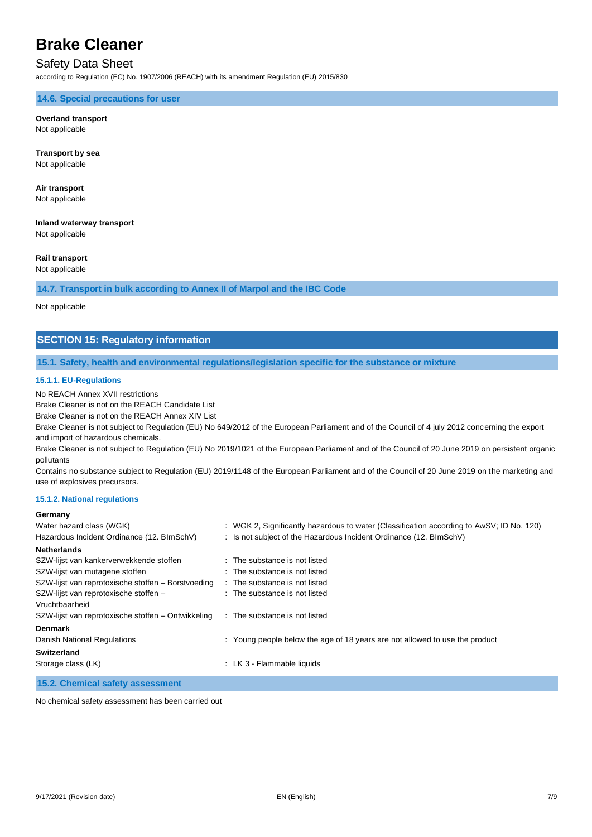## Safety Data Sheet

according to Regulation (EC) No. 1907/2006 (REACH) with its amendment Regulation (EU) 2015/830

**14.6. Special precautions for user**

#### **Overland transport** Not applicable

**Transport by sea** Not applicable

## **Air transport**

Not applicable

## **Inland waterway transport**

Not applicable

## **Rail transport**

Not applicable

## **14.7. Transport in bulk according to Annex II of Marpol and the IBC Code**

Not applicable

## **SECTION 15: Regulatory information**

#### **15.1. Safety, health and environmental regulations/legislation specific for the substance or mixture**

### **15.1.1. EU-Regulations**

No REACH Annex XVII restrictions

Brake Cleaner is not on the REACH Candidate List

Brake Cleaner is not on the REACH Annex XIV List

Brake Cleaner is not subject to Regulation (EU) No 649/2012 of the European Parliament and of the Council of 4 july 2012 concerning the export and import of hazardous chemicals.

Brake Cleaner is not subject to Regulation (EU) No 2019/1021 of the European Parliament and of the Council of 20 June 2019 on persistent organic pollutants

Contains no substance subject to Regulation (EU) 2019/1148 of the European Parliament and of the Council of 20 June 2019 on the marketing and use of explosives precursors.

#### **15.1.2. National regulations**

### **Germany**

| Water hazard class (WGK)                           |  | : WGK 2, Significantly hazardous to water (Classification according to AwSV; ID No. 120) |  |
|----------------------------------------------------|--|------------------------------------------------------------------------------------------|--|
| Hazardous Incident Ordinance (12. BImSchV)         |  | : Is not subject of the Hazardous Incident Ordinance (12. BImSchV)                       |  |
| <b>Netherlands</b>                                 |  |                                                                                          |  |
| SZW-lijst van kankerverwekkende stoffen            |  | : The substance is not listed                                                            |  |
| SZW-lijst van mutagene stoffen                     |  | : The substance is not listed                                                            |  |
| SZW-lijst van reprotoxische stoffen - Borstvoeding |  | : The substance is not listed                                                            |  |
| SZW-lijst van reprotoxische stoffen -              |  | : The substance is not listed                                                            |  |
| Vruchtbaarheid                                     |  |                                                                                          |  |
| SZW-lijst van reprotoxische stoffen – Ontwikkeling |  | : The substance is not listed                                                            |  |
| <b>Denmark</b>                                     |  |                                                                                          |  |
| Danish National Regulations                        |  | : Young people below the age of 18 years are not allowed to use the product              |  |
| <b>Switzerland</b>                                 |  |                                                                                          |  |
| Storage class (LK)                                 |  | : LK 3 - Flammable liquids                                                               |  |
|                                                    |  |                                                                                          |  |

## **15.2. Chemical safety assessment**

No chemical safety assessment has been carried out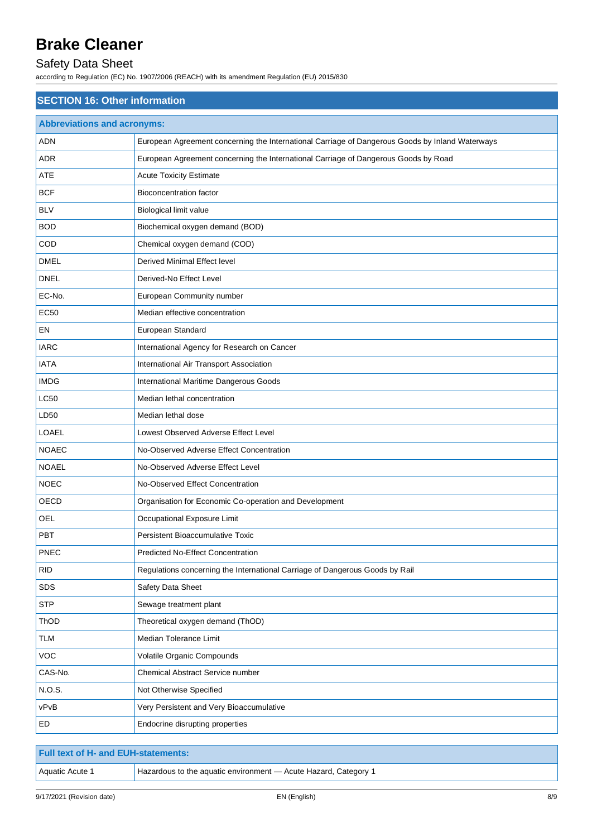## Safety Data Sheet

according to Regulation (EC) No. 1907/2006 (REACH) with its amendment Regulation (EU) 2015/830

| <b>SECTION 16: Other information</b> |                                                                                                 |  |  |  |
|--------------------------------------|-------------------------------------------------------------------------------------------------|--|--|--|
| <b>Abbreviations and acronyms:</b>   |                                                                                                 |  |  |  |
| ADN                                  | European Agreement concerning the International Carriage of Dangerous Goods by Inland Waterways |  |  |  |
| ADR                                  | European Agreement concerning the International Carriage of Dangerous Goods by Road             |  |  |  |
| ATE                                  | <b>Acute Toxicity Estimate</b>                                                                  |  |  |  |
| <b>BCF</b>                           | Bioconcentration factor                                                                         |  |  |  |
| <b>BLV</b>                           | Biological limit value                                                                          |  |  |  |
| <b>BOD</b>                           | Biochemical oxygen demand (BOD)                                                                 |  |  |  |
| COD                                  | Chemical oxygen demand (COD)                                                                    |  |  |  |
| <b>DMEL</b>                          | Derived Minimal Effect level                                                                    |  |  |  |
| <b>DNEL</b>                          | Derived-No Effect Level                                                                         |  |  |  |
| EC-No.                               | European Community number                                                                       |  |  |  |
| <b>EC50</b>                          | Median effective concentration                                                                  |  |  |  |
| EN                                   | European Standard                                                                               |  |  |  |
| <b>IARC</b>                          | International Agency for Research on Cancer                                                     |  |  |  |
| <b>IATA</b>                          | International Air Transport Association                                                         |  |  |  |
| <b>IMDG</b>                          | International Maritime Dangerous Goods                                                          |  |  |  |
| <b>LC50</b>                          | Median lethal concentration                                                                     |  |  |  |
| LD50                                 | Median lethal dose                                                                              |  |  |  |
| LOAEL                                | Lowest Observed Adverse Effect Level                                                            |  |  |  |
| <b>NOAEC</b>                         | No-Observed Adverse Effect Concentration                                                        |  |  |  |
| <b>NOAEL</b>                         | No-Observed Adverse Effect Level                                                                |  |  |  |
| <b>NOEC</b>                          | No-Observed Effect Concentration                                                                |  |  |  |
| OECD                                 | Organisation for Economic Co-operation and Development                                          |  |  |  |
| OEL                                  | Occupational Exposure Limit                                                                     |  |  |  |
| PBT                                  | Persistent Bioaccumulative Toxic                                                                |  |  |  |
| <b>PNEC</b>                          | Predicted No-Effect Concentration                                                               |  |  |  |
| <b>RID</b>                           | Regulations concerning the International Carriage of Dangerous Goods by Rail                    |  |  |  |
| SDS                                  | Safety Data Sheet                                                                               |  |  |  |
| <b>STP</b>                           | Sewage treatment plant                                                                          |  |  |  |
| ThOD                                 | Theoretical oxygen demand (ThOD)                                                                |  |  |  |
| <b>TLM</b>                           | Median Tolerance Limit                                                                          |  |  |  |
| VOC                                  | Volatile Organic Compounds                                                                      |  |  |  |
| CAS-No.                              | Chemical Abstract Service number                                                                |  |  |  |
| N.O.S.                               | Not Otherwise Specified                                                                         |  |  |  |
| vPvB                                 | Very Persistent and Very Bioaccumulative                                                        |  |  |  |
| ED                                   | Endocrine disrupting properties                                                                 |  |  |  |

| Full text of H- and EUH-statements: |                                                                 |  |
|-------------------------------------|-----------------------------------------------------------------|--|
| Aquatic Acute 1                     | Hazardous to the aquatic environment - Acute Hazard, Category 1 |  |